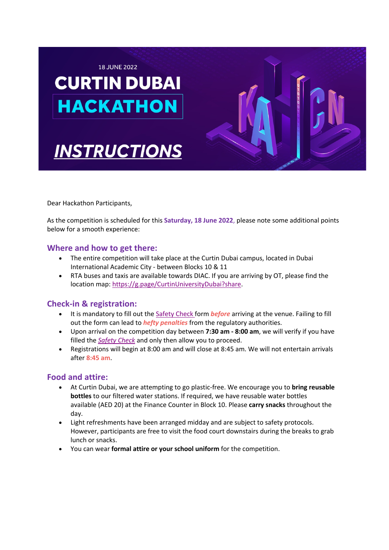

**INSTRUCTIONS** 



Dear Hackathon Participants,

As the competition is scheduled for this **Saturday, 18 June 2022**, please note some additional points below for a smooth experience:

#### **Where and how to get there:**

- The entire competition will take place at the Curtin Dubai campus, located in Dubai International Academic City - between Blocks 10 & 11
- RTA buses and taxis are available towards DIAC. If you are arriving by OT, please find the location map: https://g.page/CurtinUniversityDubai?share.

## **Check-in & registration:**

- It is mandatory to fill out the Safety Check form *before* arriving at the venue. Failing to fill out the form can lead to *hefty penalties* from the regulatory authorities.
- Upon arrival on the competition day between **7:30 am - 8:00 am**, we will verify if you have filled the *Safety Check* and only then allow you to proceed.
- Registrations will begin at 8:00 am and will close at 8:45 am. We will not entertain arrivals after **8:45 am**.

## **Food and attire:**

- At Curtin Dubai, we are attempting to go plastic-free. We encourage you to **bring reusable bottles** to our filtered water stations. If required, we have reusable water bottles available (AED 20) at the Finance Counter in Block 10. Please **carry snacks** throughout the day.
- Light refreshments have been arranged midday and are subject to safety protocols. However, participants are free to visit the food court downstairs during the breaks to grab lunch or snacks.
- You can wear **formal attire or your school uniform** for the competition.